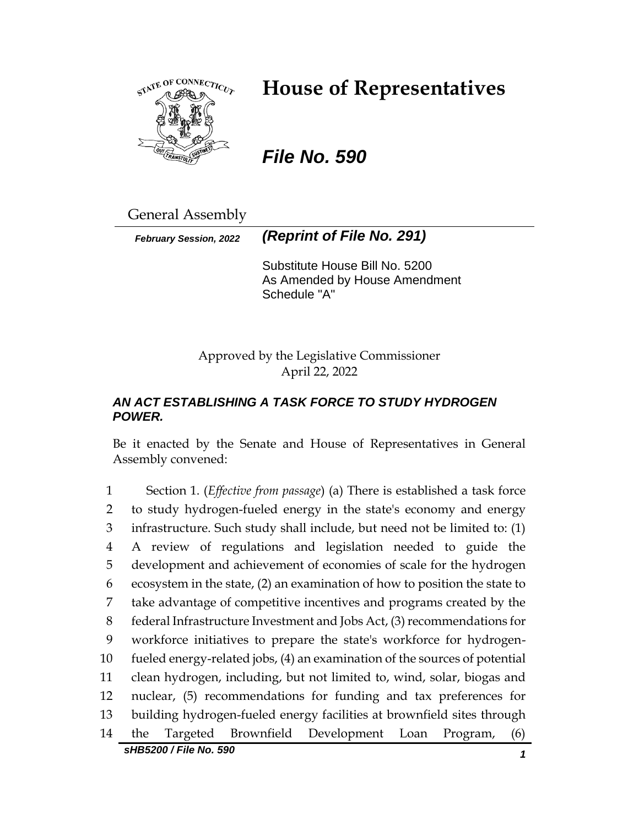

# **House of Representatives**

*File No. 590*

General Assembly

*February Session, 2022 (Reprint of File No. 291)*

Substitute House Bill No. 5200 As Amended by House Amendment Schedule "A"

Approved by the Legislative Commissioner April 22, 2022

## *AN ACT ESTABLISHING A TASK FORCE TO STUDY HYDROGEN POWER.*

Be it enacted by the Senate and House of Representatives in General Assembly convened:

*sHB5200 / File No. 590 1* Section 1. (*Effective from passage*) (a) There is established a task force to study hydrogen-fueled energy in the state's economy and energy infrastructure. Such study shall include, but need not be limited to: (1) A review of regulations and legislation needed to guide the development and achievement of economies of scale for the hydrogen ecosystem in the state, (2) an examination of how to position the state to take advantage of competitive incentives and programs created by the federal Infrastructure Investment and Jobs Act, (3) recommendations for workforce initiatives to prepare the state's workforce for hydrogen- fueled energy-related jobs, (4) an examination of the sources of potential clean hydrogen, including, but not limited to, wind, solar, biogas and nuclear, (5) recommendations for funding and tax preferences for building hydrogen-fueled energy facilities at brownfield sites through the Targeted Brownfield Development Loan Program, (6)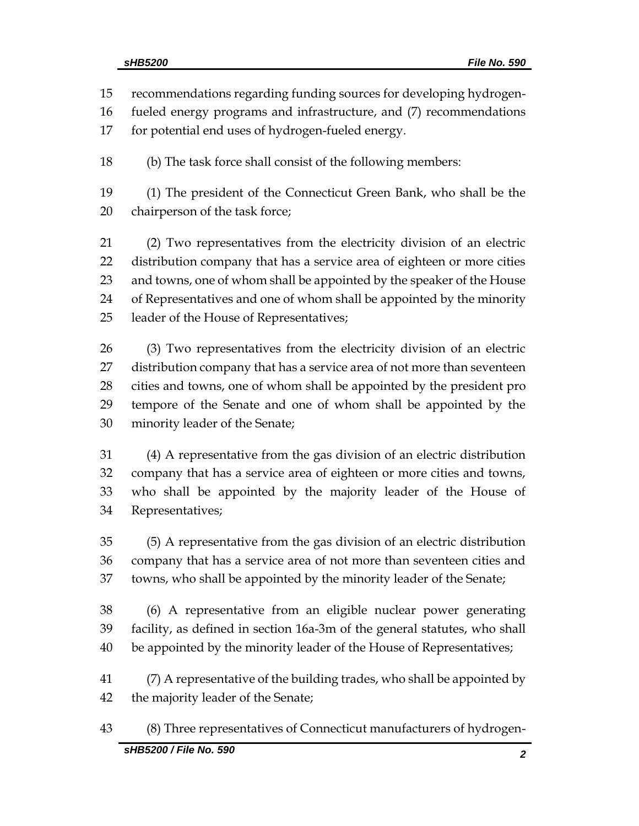recommendations regarding funding sources for developing hydrogen-

fueled energy programs and infrastructure, and (7) recommendations

for potential end uses of hydrogen-fueled energy.

(b) The task force shall consist of the following members:

 (1) The president of the Connecticut Green Bank, who shall be the chairperson of the task force;

 (2) Two representatives from the electricity division of an electric distribution company that has a service area of eighteen or more cities and towns, one of whom shall be appointed by the speaker of the House of Representatives and one of whom shall be appointed by the minority leader of the House of Representatives;

 (3) Two representatives from the electricity division of an electric distribution company that has a service area of not more than seventeen cities and towns, one of whom shall be appointed by the president pro tempore of the Senate and one of whom shall be appointed by the minority leader of the Senate;

 (4) A representative from the gas division of an electric distribution company that has a service area of eighteen or more cities and towns, who shall be appointed by the majority leader of the House of Representatives;

 (5) A representative from the gas division of an electric distribution company that has a service area of not more than seventeen cities and towns, who shall be appointed by the minority leader of the Senate;

 (6) A representative from an eligible nuclear power generating facility, as defined in section 16a-3m of the general statutes, who shall be appointed by the minority leader of the House of Representatives;

 (7) A representative of the building trades, who shall be appointed by the majority leader of the Senate;

(8) Three representatives of Connecticut manufacturers of hydrogen-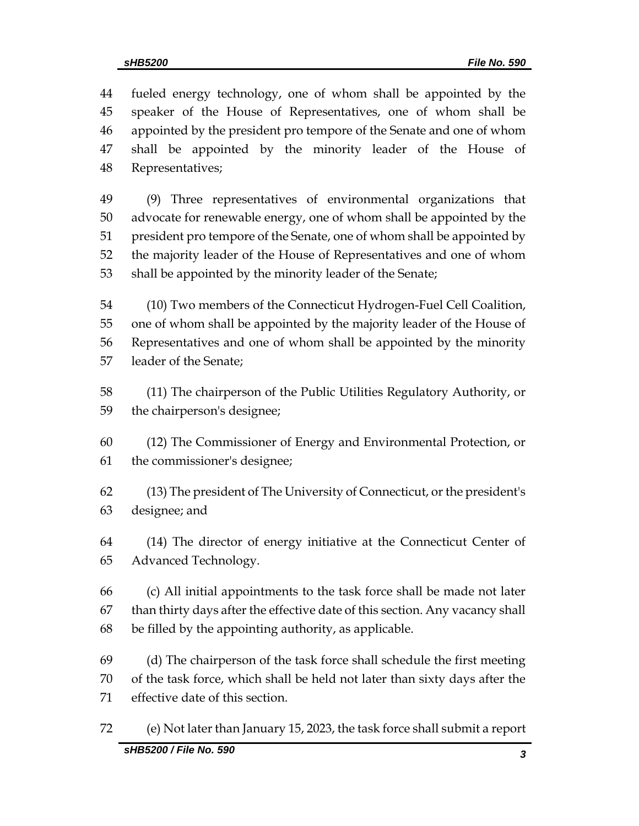fueled energy technology, one of whom shall be appointed by the speaker of the House of Representatives, one of whom shall be appointed by the president pro tempore of the Senate and one of whom shall be appointed by the minority leader of the House of Representatives;

 (9) Three representatives of environmental organizations that advocate for renewable energy, one of whom shall be appointed by the president pro tempore of the Senate, one of whom shall be appointed by the majority leader of the House of Representatives and one of whom shall be appointed by the minority leader of the Senate;

 (10) Two members of the Connecticut Hydrogen-Fuel Cell Coalition, one of whom shall be appointed by the majority leader of the House of Representatives and one of whom shall be appointed by the minority leader of the Senate;

 (11) The chairperson of the Public Utilities Regulatory Authority, or the chairperson's designee;

 (12) The Commissioner of Energy and Environmental Protection, or the commissioner's designee;

 (13) The president of The University of Connecticut, or the president's designee; and

 (14) The director of energy initiative at the Connecticut Center of Advanced Technology.

 (c) All initial appointments to the task force shall be made not later than thirty days after the effective date of this section. Any vacancy shall be filled by the appointing authority, as applicable.

 (d) The chairperson of the task force shall schedule the first meeting of the task force, which shall be held not later than sixty days after the effective date of this section.

*sHB5200 / File No. 590 3* (e) Not later than January 15, 2023, the task force shall submit a report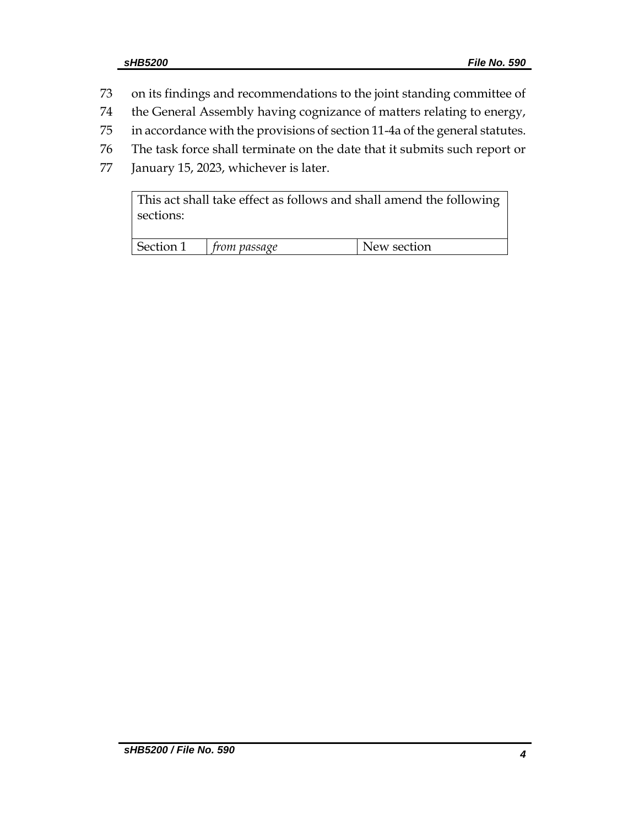- 73 on its findings and recommendations to the joint standing committee of
- 74 the General Assembly having cognizance of matters relating to energy,
- 75 in accordance with the provisions of section 11-4a of the general statutes.
- 76 The task force shall terminate on the date that it submits such report or
- 77 January 15, 2023, whichever is later.

| This act shall take effect as follows and shall amend the following |  |
|---------------------------------------------------------------------|--|
| sections:                                                           |  |

| Section | <i>from passage</i> | New section |
|---------|---------------------|-------------|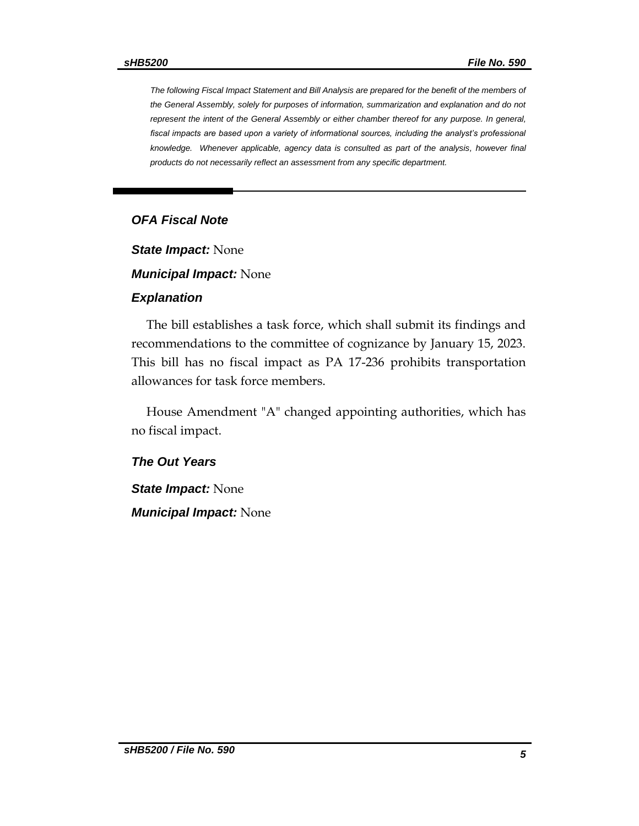*The following Fiscal Impact Statement and Bill Analysis are prepared for the benefit of the members of the General Assembly, solely for purposes of information, summarization and explanation and do not represent the intent of the General Assembly or either chamber thereof for any purpose. In general,*  fiscal impacts are based upon a variety of informational sources, including the analyst's professional knowledge. Whenever applicable, agency data is consulted as part of the analysis, however final *products do not necessarily reflect an assessment from any specific department.*

#### *OFA Fiscal Note*

*State Impact:* None

*Municipal Impact:* None

#### *Explanation*

The bill establishes a task force, which shall submit its findings and recommendations to the committee of cognizance by January 15, 2023. This bill has no fiscal impact as PA 17-236 prohibits transportation allowances for task force members.

House Amendment "A" changed appointing authorities, which has no fiscal impact.

#### *The Out Years*

*State Impact:* None

*Municipal Impact:* None